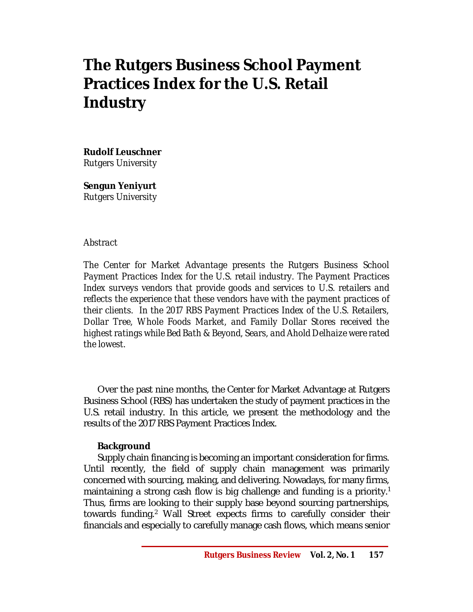# **The Rutgers Business School Payment Practices Index for the U.S. Retail Industry**

**Rudolf Leuschner**

*Rutgers University*

**Sengun Yeniyurt** *Rutgers University*

#### *Abstract*

*The Center for Market Advantage presents the Rutgers Business School Payment Practices Index for the U.S. retail industry. The Payment Practices Index surveys vendors that provide goods and services to U.S. retailers and reflects the experience that these vendors have with the payment practices of their clients. In the 2017 RBS Payment Practices Index of the U.S. Retailers, Dollar Tree, Whole Foods Market, and Family Dollar Stores received the highest ratings while Bed Bath & Beyond, Sears, and Ahold Delhaize were rated the lowest.*

Over the past nine months, the Center for Market Advantage at Rutgers Business School (RBS) has undertaken the study of payment practices in the U.S. retail industry. In this article, we present the methodology and the results of the 2017 RBS Payment Practices Index.

## **Background**

Supply chain financing is becoming an important consideration for firms. Until recently, the field of supply chain management was primarily concerned with sourcing, making, and delivering. Nowadays, for many firms, maintaining a strong cash flow is big challenge and funding is a priority. 1 Thus, firms are looking to their supply base beyond sourcing partnerships, towards funding. <sup>2</sup> Wall Street expects firms to carefully consider their financials and especially to carefully manage cash flows, which means senior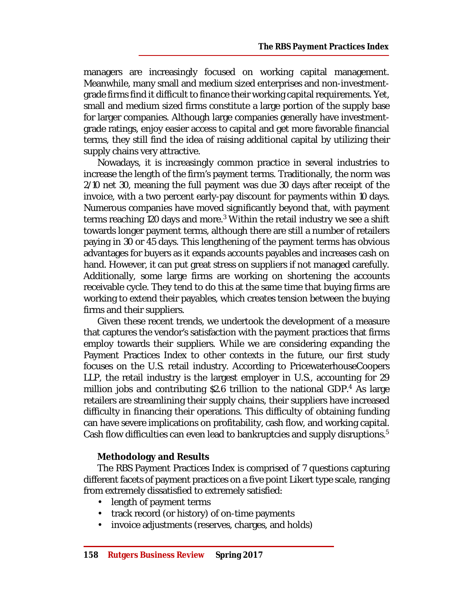managers are increasingly focused on working capital management. Meanwhile, many small and medium sized enterprises and non-investmentgrade firms find it difficult to finance their working capital requirements. Yet, small and medium sized firms constitute a large portion of the supply base for larger companies. Although large companies generally have investmentgrade ratings, enjoy easier access to capital and get more favorable financial terms, they still find the idea of raising additional capital by utilizing their supply chains very attractive.

Nowadays, it is increasingly common practice in several industries to increase the length of the firm's payment terms. Traditionally, the norm was 2/10 net 30, meaning the full payment was due 30 days after receipt of the invoice, with a two percent early-pay discount for payments within 10 days. Numerous companies have moved significantly beyond that, with payment terms reaching 120 days and more.<sup>3</sup> Within the retail industry we see a shift towards longer payment terms, although there are still a number of retailers paying in 30 or 45 days. This lengthening of the payment terms has obvious advantages for buyers as it expands accounts payables and increases cash on hand. However, it can put great stress on suppliers if not managed carefully. Additionally, some large firms are working on shortening the accounts receivable cycle. They tend to do this at the same time that buying firms are working to extend their payables, which creates tension between the buying firms and their suppliers.

Given these recent trends, we undertook the development of a measure that captures the vendor's satisfaction with the payment practices that firms employ towards their suppliers. While we are considering expanding the Payment Practices Index to other contexts in the future, our first study focuses on the U.S. retail industry. According to PricewaterhouseCoopers LLP, the retail industry is the largest employer in U.S., accounting for 29 million jobs and contributing \$2.6 trillion to the national GDP.<sup>4</sup> As large retailers are streamlining their supply chains, their suppliers have increased difficulty in financing their operations. This difficulty of obtaining funding can have severe implications on profitability, cash flow, and working capital. Cash flow difficulties can even lead to bankruptcies and supply disruptions.<sup>5</sup>

## **Methodology and Results**

The RBS Payment Practices Index is comprised of 7 questions capturing different facets of payment practices on a five point Likert type scale, ranging from extremely dissatisfied to extremely satisfied:

- length of payment terms
- track record (or history) of on-time payments
- invoice adjustments (reserves, charges, and holds)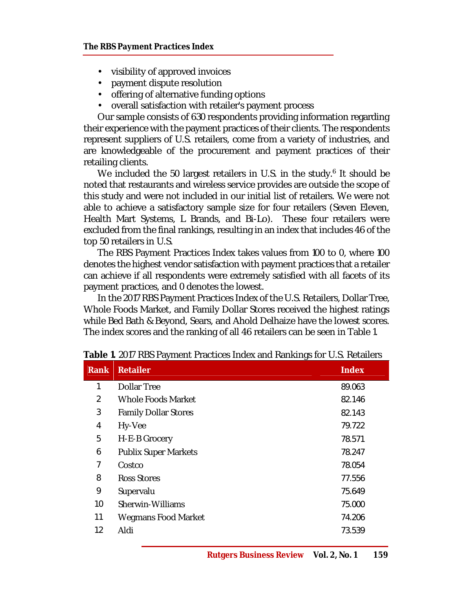- visibility of approved invoices
- payment dispute resolution
- offering of alternative funding options
- overall satisfaction with retailer's payment process

Our sample consists of 630 respondents providing information regarding their experience with the payment practices of their clients. The respondents represent suppliers of U.S. retailers, come from a variety of industries, and are knowledgeable of the procurement and payment practices of their retailing clients.

We included the 50 largest retailers in U.S. in the study.<sup>6</sup> It should be noted that restaurants and wireless service provides are outside the scope of this study and were not included in our initial list of retailers. We were not able to achieve a satisfactory sample size for four retailers (Seven Eleven, Health Mart Systems, L Brands, and Bi-Lo). These four retailers were excluded from the final rankings, resulting in an index that includes 46 of the top 50 retailers in U.S.

The RBS Payment Practices Index takes values from 100 to 0, where 100 denotes the highest vendor satisfaction with payment practices that a retailer can achieve if all respondents were extremely satisfied with all facets of its payment practices, and 0 denotes the lowest.

In the 2017 RBS Payment Practices Index of the U.S. Retailers, Dollar Tree, Whole Foods Market, and Family Dollar Stores received the highest ratings while Bed Bath & Beyond, Sears, and Ahold Delhaize have the lowest scores. The index scores and the ranking of all 46 retailers can be seen in Table 1.

| <b>Rank</b> | <b>Retailer</b>             | <b>Index</b> |
|-------------|-----------------------------|--------------|
| 1           | Dollar Tree                 | 89.063       |
| 2           | Whole Foods Market          | 82.146       |
| 3           | <b>Family Dollar Stores</b> | 82.143       |
| 4           | Hy-Vee                      | 79.722       |
| 5           | H-E-B Grocery               | 78.571       |
| 6           | <b>Publix Super Markets</b> | 78.247       |
| 7           | Costco                      | 78.054       |
| 8           | Ross Stores                 | 77.556       |
| 9           | Supervalu                   | 75.649       |
| 10          | Sherwin-Williams            | 75.000       |
| 11          | <b>Wegmans Food Market</b>  | 74.206       |
| 12          | Aldi                        | 73.539       |
|             |                             |              |

**Table 1.** 2017 RBS Payment Practices Index and Rankings for U.S. Retailers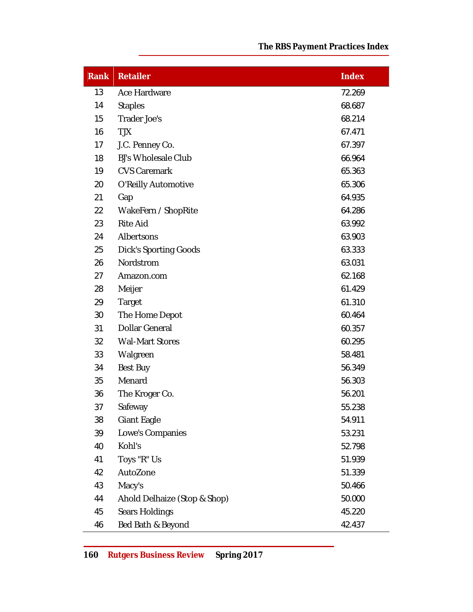| <b>Rank</b> | <b>Retailer</b>              | <b>Index</b> |
|-------------|------------------------------|--------------|
| 13          | Ace Hardware                 | 72.269       |
| 14          | <b>Staples</b>               | 68.687       |
| 15          | Trader Joe's                 | 68.214       |
| 16          | <b>TJX</b>                   | 67.471       |
| 17          | J.C. Penney Co.              | 67.397       |
| 18          | <b>BJ's Wholesale Club</b>   | 66.964       |
| 19          | <b>CVS Caremark</b>          | 65.363       |
| 20          | O'Reilly Automotive          | 65.306       |
| 21          | Gap                          | 64.935       |
| 22          | WakeFern / ShopRite          | 64.286       |
| 23          | <b>Rite Aid</b>              | 63.992       |
| 24          | Albertsons                   | 63.903       |
| 25          | <b>Dick's Sporting Goods</b> | 63.333       |
| 26          | Nordstrom                    | 63.031       |
| 27          | Amazon.com                   | 62.168       |
| 28          | Meijer                       | 61.429       |
| 29          | Target                       | 61.310       |
| 30          | The Home Depot               | 60.464       |
| 31          | Dollar General               | 60.357       |
| 32          | <b>Wal-Mart Stores</b>       | 60.295       |
| 33          | Walgreen                     | 58.481       |
| 34          | Best Buy                     | 56.349       |
| 35          | Menard                       | 56.303       |
| 36          | The Kroger Co.               | 56.201       |
| 37          | Safeway                      | 55.238       |
| 38          | Giant Eagle                  | 54.911       |
| 39          | Lowe's Companies             | 53.231       |
| 40          | Kohl's                       | 52.798       |
| 41          | Toys "R" Us                  | 51.939       |
| 42          | AutoZone                     | 51.339       |
| 43          | Macy's                       | 50.466       |
| 44          | Ahold Delhaize (Stop & Shop) | 50.000       |
| 45          | Sears Holdings               | 45.220       |
| 46          | Bed Bath & Beyond            | 42.437       |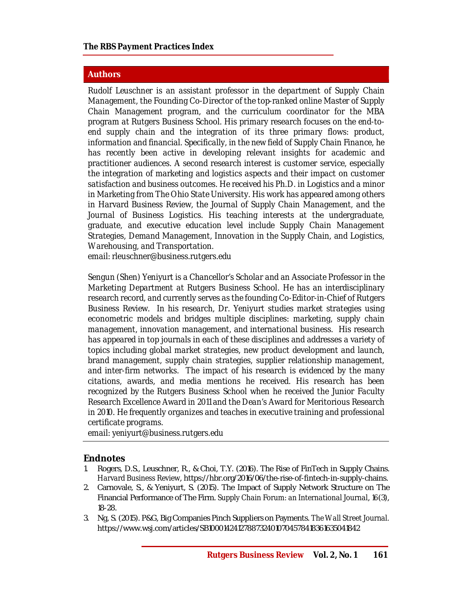#### **Authors**

*Rudolf Leuschner is an assistant professor in the department of Supply Chain Management, the Founding Co-Director of the top-ranked online Master of Supply Chain Management program, and the curriculum coordinator for the MBA program at Rutgers Business School. His primary research focuses on the end-toend supply chain and the integration of its three primary flows: product, information and financial. Specifically, in the new field of Supply Chain Finance, he*  has recently been active in developing relevant insights for academic and *practitioner audiences. A second research interest is customer service, especially the integration of marketing and logistics aspects and their impact on customer satisfaction and business outcomes. He received his Ph.D. in Logistics and a minor in Marketing from The Ohio State University. His work has appeared among others in Harvard Business Review, the Journal of Supply Chain Management, and the*  Journal of Business Logistics. His teaching interests at the undergraduate, *graduate, and executive education level include Supply Chain Management Strategies, Demand Management, Innovation in the Supply Chain, and Logistics, Warehousing, and Transportation.*

*email: [rleuschner@business.rutgers.edu](mailto:rleuschner@business.rutgers.edu)*

*Sengun (Shen) Yeniyurt is a Chancellor's Scholar and an Associate Professor in the Marketing Department at Rutgers Business School. He has an interdisciplinary research record, and currently serves as the founding Co-Editor-in-Chief of Rutgers Business Review. In his research, Dr. Yeniyurt studies market strategies using econometric models and bridges multiple disciplines: marketing, supply chain management, innovation management, and international business. His research has appeared in top journals in each of these disciplines and addresses a variety of topics including global market strategies, new product development and launch, brand management, supply chain strategies, supplier relationship management, and inter-firm networks. The impact of his research is evidenced by the many citations, awards, and media mentions he received. His research has been recognized by the Rutgers Business School when he received the Junior Faculty Research Excellence Award in 2011 and the Dean's Award for Meritorious Research*  in 2010. He frequently organizes and teaches in executive training and professional *certificate programs.*

*email: [yeniyurt@business.rutgers.edu](mailto:yeniyurt@business.rutgers.edu)*

## **Endnotes**

- 1. Rogers, D.S., Leuschner, R., & Choi, T.Y. (2016). The Rise of FinTech in Supply Chains. *Harvard Business Review*, <https://hbr.org/2016/06/the-rise-of-fintech-in-supply-chains.>
- 2. Carnovale, S., & Yeniyurt, S. (2015). The Impact of Supply Network Structure on The Financial Performance of The Firm. *Supply Chain Forum: an International Journal*, *16*(3), 18-28.
- 3. Ng, S. (2015). P&G, Big Companies Pinch Suppliers on Payments. *The Wall Street Journal.*  <https://www.wsj.com/articles/SB10001424127887324010704578418361635041842>